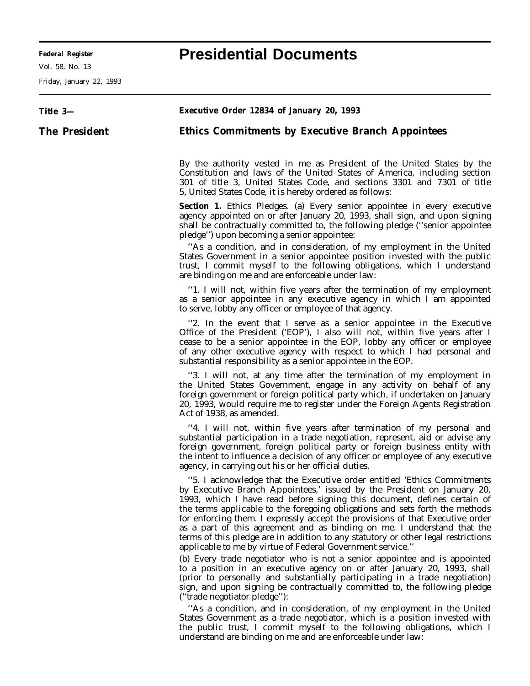Vol. 58, No. 13

Friday, January 22, 1993

## **Title 3— The President Executive Order 12834 of January 20, 1993 Ethics Commitments by Executive Branch Appointees** By the authority vested in me as President of the United States by the Constitution and laws of the United States of America, including section 301 of title 3, United States Code, and sections 3301 and 7301 of title 5, United States Code, it is hereby ordered as follows: **Section 1.** *Ethics Pledges.* (a) Every senior appointee in every executive agency appointed on or after January 20, 1993, shall sign, and upon signing shall be contractually committed to, the following pledge (''senior appointee pledge'') upon becoming a senior appointee: ''As a condition, and in consideration, of my employment in the United States Government in a senior appointee position invested with the public trust, I commit myself to the following obligations, which I understand are binding on me and are enforceable under law: ''1. I will not, within five years after the termination of my employment as a senior appointee in any executive agency in which I am appointed to serve, lobby any officer or employee of that agency. ''2. In the event that I serve as a senior appointee in the Executive Office of the President ('EOP'), I also will not, within five years after I cease to be a senior appointee in the EOP, lobby any officer or employee of any other executive agency with respect to which I had personal and substantial responsibility as a senior appointee in the EOP. ''3. I will not, at any time after the termination of my employment in the United States Government, engage in any activity on behalf of any foreign government or foreign political party which, if undertaken on January 20, 1993, would require me to register under the Foreign Agents Registration Act of 1938, as amended. ''4. I will not, within five years after termination of my personal and substantial participation in a trade negotiation, represent, aid or advise any foreign government, foreign political party or foreign business entity with the intent to influence a decision of any officer or employee of any executive agency, in carrying out his or her official duties. ''5. I acknowledge that the Executive order entitled 'Ethics Commitments by Executive Branch Appointees,' issued by the President on January 20, 1993, which I have read before signing this document, defines certain of the terms applicable to the foregoing obligations and sets forth the methods for enforcing them. I expressly accept the provisions of that Executive order as a part of this agreement and as binding on me. I understand that the terms of this pledge are in addition to any statutory or other legal restrictions applicable to me by virtue of Federal Government service.'' (b) Every trade negotiator who is not a senior appointee and is appointed to a position in an executive agency on or after January 20, 1993, shall (prior to personally and substantially participating in a trade negotiation) sign, and upon signing be contractually committed to, the following pledge (''trade negotiator pledge''): ''As a condition, and in consideration, of my employment in the United States Government as a trade negotiator, which is a position invested with the public trust, I commit myself to the following obligations, which I understand are binding on me and are enforceable under law:

## **Federal Register Presidential Documents**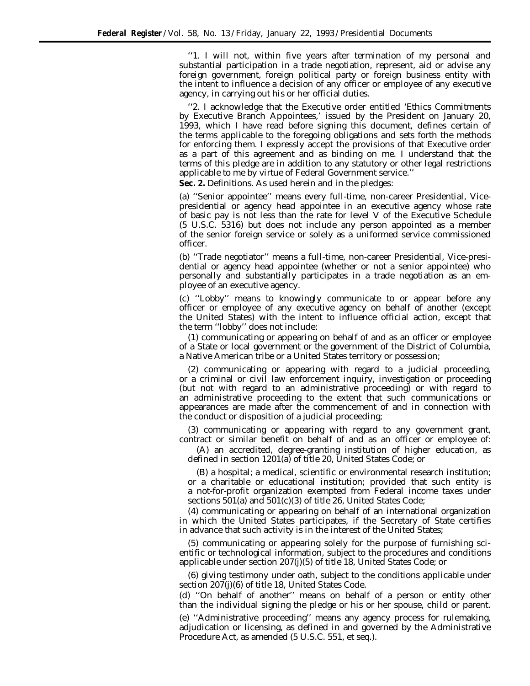''1. I will not, within five years after termination of my personal and substantial participation in a trade negotiation, represent, aid or advise any foreign government, foreign political party or foreign business entity with the intent to influence a decision of any officer or employee of any executive agency, in carrying out his or her official duties.

''2. I acknowledge that the Executive order entitled 'Ethics Commitments by Executive Branch Appointees,' issued by the President on January 20, 1993, which I have read before signing this document, defines certain of the terms applicable to the foregoing obligations and sets forth the methods for enforcing them. I expressly accept the provisions of that Executive order as a part of this agreement and as binding on me. I understand that the terms of this pledge are in addition to any statutory or other legal restrictions applicable to me by virtue of Federal Government service.''

**Sec. 2.** *Definitions.* As used herein and in the pledges:

(a) ''Senior appointee'' means every full-time, non-career Presidential, Vicepresidential or agency head appointee in an executive agency whose rate of basic pay is not less than the rate for level V of the Executive Schedule (5 U.S.C. 5316) but does not include any person appointed as a member of the senior foreign service or solely as a uniformed service commissioned officer.

(b) ''Trade negotiator'' means a full-time, non-career Presidential, Vice-presidential or agency head appointee (whether or not a senior appointee) who personally and substantially participates in a trade negotiation as an employee of an executive agency.

(c) ''Lobby'' means to knowingly communicate to or appear before any officer or employee of any executive agency on behalf of another (except the United States) with the intent to influence official action, except that the term ''lobby'' does not include:

(1) communicating or appearing on behalf of and as an officer or employee of a State or local government or the government of the District of Columbia, a Native American tribe or a United States territory or possession;

(2) communicating or appearing with regard to a judicial proceeding, or a criminal or civil law enforcement inquiry, investigation or proceeding (but not with regard to an administrative proceeding) or with regard to an administrative proceeding to the extent that such communications or appearances are made after the commencement of and in connection with the conduct or disposition of a judicial proceeding;

(3) communicating or appearing with regard to any government grant, contract or similar benefit on behalf of and as an officer or employee of:

(A) an accredited, degree-granting institution of higher education, as defined in section 1201(a) of title 20, United States Code; or

(B) a hospital; a medical, scientific or environmental research institution; or a charitable or educational institution; provided that such entity is a not-for-profit organization exempted from Federal income taxes under sections 501(a) and 501(c)(3) of title 26, United States Code;

(4) communicating or appearing on behalf of an international organization in which the United States participates, if the Secretary of State certifies in advance that such activity is in the interest of the United States;

(5) communicating or appearing solely for the purpose of furnishing scientific or technological information, subject to the procedures and conditions applicable under section 207(j)(5) of title 18, United States Code; or

(6) giving testimony under oath, subject to the conditions applicable under section 207(j)(6) of title 18, United States Code.

(d) ''On behalf of another'' means on behalf of a person or entity other than the individual signing the pledge or his or her spouse, child or parent.

(e) ''Administrative proceeding'' means any agency process for rulemaking, adjudication or licensing, as defined in and governed by the Administrative Procedure Act, as amended (5 U.S.C. 551, *et seq.*).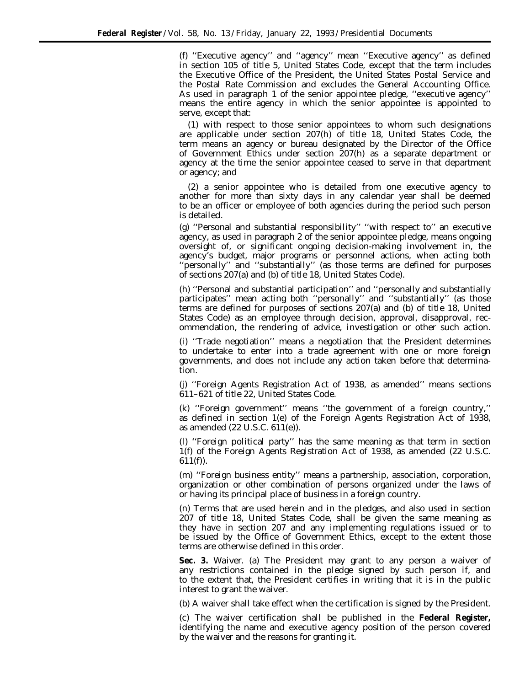(f) ''Executive agency'' and ''agency'' mean ''Executive agency'' as defined in section 105 of title 5, United States Code, except that the term includes the Executive Office of the President, the United States Postal Service and the Postal Rate Commission and excludes the General Accounting Office. As used in paragraph 1 of the senior appointee pledge, ''executive agency'' means the entire agency in which the senior appointee is appointed to serve, except that:

(1) with respect to those senior appointees to whom such designations are applicable under section 207(h) of title 18, United States Code, the term means an agency or bureau designated by the Director of the Office of Government Ethics under section 207(h) as a separate department or agency at the time the senior appointee ceased to serve in that department or agency; and

(2) a senior appointee who is detailed from one executive agency to another for more than sixty days in any calendar year shall be deemed to be an officer or employee of both agencies during the period such person is detailed.

(g) ''Personal and substantial responsibility'' ''with respect to'' an executive agency, as used in paragraph 2 of the senior appointee pledge, means ongoing oversight of, or significant ongoing decision-making involvement in, the agency's budget, major programs or personnel actions, when acting both ''personally'' and ''substantially'' (as those terms are defined for purposes of sections 207(a) and (b) of title 18, United States Code).

(h) ''Personal and substantial participation'' and ''personally and substantially participates'' mean acting both ''personally'' and ''substantially'' (as those terms are defined for purposes of sections 207(a) and (b) of title 18, United States Code) as an employee through decision, approval, disapproval, recommendation, the rendering of advice, investigation or other such action.

(i) ''Trade negotiation'' means a negotiation that the President determines to undertake to enter into a trade agreement with one or more foreign governments, and does not include any action taken before that determination.

(j) ''Foreign Agents Registration Act of 1938, as amended'' means sections 611–621 of title 22, United States Code.

(k) ''Foreign government'' means ''the government of a foreign country,'' as defined in section 1(e) of the Foreign Agents Registration Act of 1938, as amended (22 U.S.C. 611(e)).

(l) ''Foreign political party'' has the same meaning as that term in section 1(f) of the Foreign Agents Registration Act of 1938, as amended (22 U.S.C.  $611(f)$ ).

(m) ''Foreign business entity'' means a partnership, association, corporation, organization or other combination of persons organized under the laws of or having its principal place of business in a foreign country.

(n) Terms that are used herein and in the pledges, and also used in section 207 of title 18, United States Code, shall be given the same meaning as they have in section 207 and any implementing regulations issued or to be issued by the Office of Government Ethics, except to the extent those terms are otherwise defined in this order.

**Sec. 3.** *Waiver.* (a) The President may grant to any person a waiver of any restrictions contained in the pledge signed by such person if, and to the extent that, the President certifies in writing that it is in the public interest to grant the waiver.

(b) A waiver shall take effect when the certification is signed by the President.

(c) The waiver certification shall be published in the **Federal Register,** identifying the name and executive agency position of the person covered by the waiver and the reasons for granting it.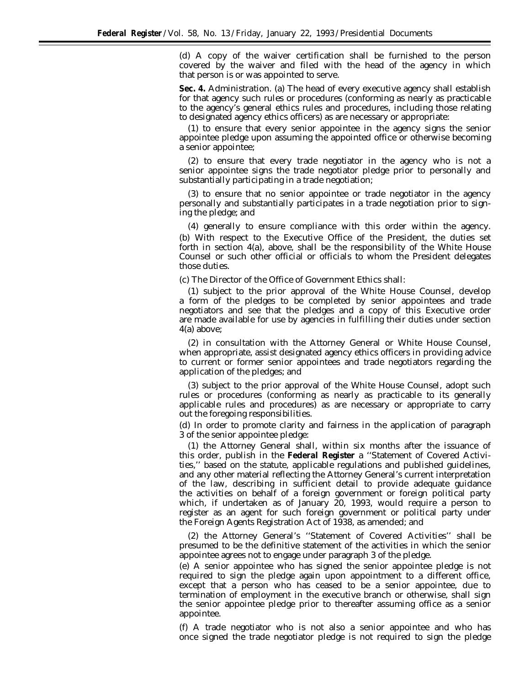(d) A copy of the waiver certification shall be furnished to the person covered by the waiver and filed with the head of the agency in which that person is or was appointed to serve.

**Sec. 4.** *Administration.* (a) The head of every executive agency shall establish for that agency such rules or procedures (conforming as nearly as practicable to the agency's general ethics rules and procedures, including those relating to designated agency ethics officers) as are necessary or appropriate:

(1) to ensure that every senior appointee in the agency signs the senior appointee pledge upon assuming the appointed office or otherwise becoming a senior appointee;

(2) to ensure that every trade negotiator in the agency who is not a senior appointee signs the trade negotiator pledge prior to personally and substantially participating in a trade negotiation;

(3) to ensure that no senior appointee or trade negotiator in the agency personally and substantially participates in a trade negotiation prior to signing the pledge; and

(4) generally to ensure compliance with this order within the agency. (b) With respect to the Executive Office of the President, the duties set forth in section 4(a), above, shall be the responsibility of the White House Counsel or such other official or officials to whom the President delegates those duties.

(c) The Director of the Office of Government Ethics shall:

(1) subject to the prior approval of the White House Counsel, develop a form of the pledges to be completed by senior appointees and trade negotiators and see that the pledges and a copy of this Executive order are made available for use by agencies in fulfilling their duties under section 4(a) above;

(2) in consultation with the Attorney General or White House Counsel, when appropriate, assist designated agency ethics officers in providing advice to current or former senior appointees and trade negotiators regarding the application of the pledges; and

(3) subject to the prior approval of the White House Counsel, adopt such rules or procedures (conforming as nearly as practicable to its generally applicable rules and procedures) as are necessary or appropriate to carry out the foregoing responsibilities.

(d) In order to promote clarity and fairness in the application of paragraph 3 of the senior appointee pledge:

(1) the Attorney General shall, within six months after the issuance of this order, publish in the **Federal Register** a ''Statement of Covered Activities,'' based on the statute, applicable regulations and published guidelines, and any other material reflecting the Attorney General's current interpretation of the law, describing in sufficient detail to provide adequate guidance the activities on behalf of a foreign government or foreign political party which, if undertaken as of January 20, 1993, would require a person to register as an agent for such foreign government or political party under the Foreign Agents Registration Act of 1938, as amended; and

(2) the Attorney General's ''Statement of Covered Activities'' shall be presumed to be the definitive statement of the activities in which the senior appointee agrees not to engage under paragraph 3 of the pledge.

(e) A senior appointee who has signed the senior appointee pledge is not required to sign the pledge again upon appointment to a different office, except that a person who has ceased to be a senior appointee, due to termination of employment in the executive branch or otherwise, shall sign the senior appointee pledge prior to thereafter assuming office as a senior appointee.

(f) A trade negotiator who is not also a senior appointee and who has once signed the trade negotiator pledge is not required to sign the pledge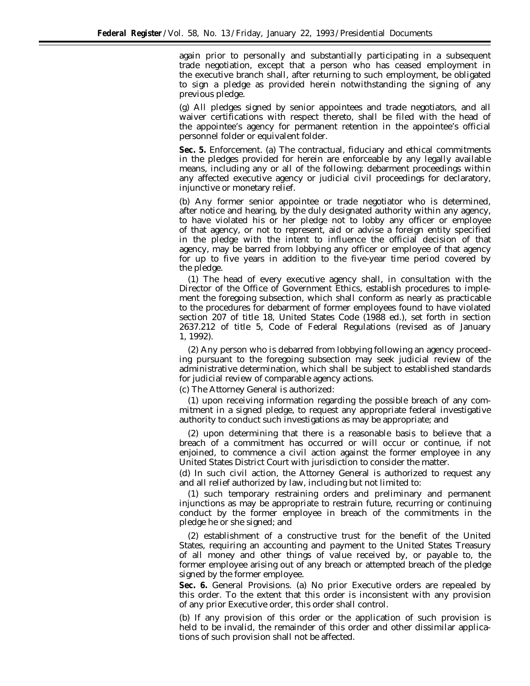again prior to personally and substantially participating in a subsequent trade negotiation, except that a person who has ceased employment in the executive branch shall, after returning to such employment, be obligated to sign a pledge as provided herein notwithstanding the signing of any previous pledge.

(g) All pledges signed by senior appointees and trade negotiators, and all waiver certifications with respect thereto, shall be filed with the head of the appointee's agency for permanent retention in the appointee's official personnel folder or equivalent folder.

**Sec. 5.** *Enforcement.* (a) The contractual, fiduciary and ethical commitments in the pledges provided for herein are enforceable by any legally available means, including any or all of the following: debarment proceedings within any affected executive agency or judicial civil proceedings for declaratory, injunctive or monetary relief.

(b) Any former senior appointee or trade negotiator who is determined, after notice and hearing, by the duly designated authority within any agency, to have violated his or her pledge not to lobby any officer or employee of that agency, or not to represent, aid or advise a foreign entity specified in the pledge with the intent to influence the official decision of that agency, may be barred from lobbying any officer or employee of that agency for up to five years in addition to the five-year time period covered by the pledge.

(1) The head of every executive agency shall, in consultation with the Director of the Office of Government Ethics, establish procedures to implement the foregoing subsection, which shall conform as nearly as practicable to the procedures for debarment of former employees found to have violated section 207 of title 18, United States Code (1988 ed.), set forth in section 2637.212 of title 5, Code of Federal Regulations (revised as of January 1, 1992).

(2) Any person who is debarred from lobbying following an agency proceeding pursuant to the foregoing subsection may seek judicial review of the administrative determination, which shall be subject to established standards for judicial review of comparable agency actions.

(c) The Attorney General is authorized:

(1) upon receiving information regarding the possible breach of any commitment in a signed pledge, to request any appropriate federal investigative authority to conduct such investigations as may be appropriate; and

(2) upon determining that there is a reasonable basis to believe that a breach of a commitment has occurred or will occur or continue, if not enjoined, to commence a civil action against the former employee in any United States District Court with jurisdiction to consider the matter.

(d) In such civil action, the Attorney General is authorized to request any and all relief authorized by law, including but not limited to:

(1) such temporary restraining orders and preliminary and permanent injunctions as may be appropriate to restrain future, recurring or continuing conduct by the former employee in breach of the commitments in the pledge he or she signed; and

(2) establishment of a constructive trust for the benefit of the United States, requiring an accounting and payment to the United States Treasury of all money and other things of value received by, or payable to, the former employee arising out of any breach or attempted breach of the pledge signed by the former employee.

**Sec. 6.** *General Provisions.* (a) No prior Executive orders are repealed by this order. To the extent that this order is inconsistent with any provision of any prior Executive order, this order shall control.

(b) If any provision of this order or the application of such provision is held to be invalid, the remainder of this order and other dissimilar applications of such provision shall not be affected.